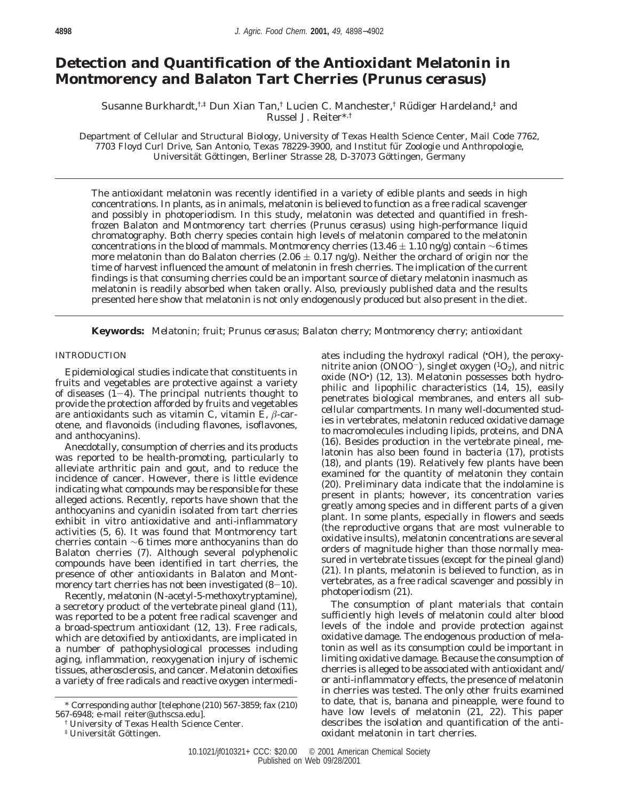# **Detection and Quantification of the Antioxidant Melatonin in Montmorency and Balaton Tart Cherries (***Prunus cerasus***)**

Susanne Burkhardt,<sup>†,‡</sup> Dun Xian Tan,<sup>†</sup> Lucien C. Manchester,<sup>†</sup> Rüdiger Hardeland,<sup>‡</sup> and Russel J. Reiter\*,†

Department of Cellular and Structural Biology, University of Texas Health Science Center, Mail Code 7762, 7703 Floyd Curl Drive, San Antonio, Texas 78229-3900, and Institut fu¨ r Zoologie und Anthropologie, Universität Göttingen, Berliner Strasse 28, D-37073 Göttingen, Germany

The antioxidant melatonin was recently identified in a variety of edible plants and seeds in high concentrations. In plants, as in animals, melatonin is believed to function as a free radical scavenger and possibly in photoperiodism. In this study, melatonin was detected and quantified in freshfrozen Balaton and Montmorency tart cherries (*Prunus cerasus*) using high-performance liquid chromatography. Both cherry species contain high levels of melatonin compared to the melatonin concentrations in the blood of mammals. Montmorency cherries (13.46  $\pm$  1.10 ng/g) contain ∼6 times more melatonin than do Balaton cherries (2.06  $\pm$  0.17 ng/g). Neither the orchard of origin nor the time of harvest influenced the amount of melatonin in fresh cherries. The implication of the current findings is that consuming cherries could be an important source of dietary melatonin inasmuch as melatonin is readily absorbed when taken orally. Also, previously published data and the results presented here show that melatonin is not only endogenously produced but also present in the diet.

**Keywords:** *Melatonin; fruit; Prunus cerasus; Balaton cherry; Montmorency cherry; antioxidant*

# INTRODUCTION

Epidemiological studies indicate that constituents in fruits and vegetables are protective against a variety of diseases  $(I-4)$ . The principal nutrients thought to provide the protection afforded by fruits and vegetables are antioxidants such as vitamin C, vitamin E, *â*-carotene, and flavonoids (including flavones, isoflavones, and anthocyanins).

Anecdotally, consumption of cherries and its products was reported to be health-promoting, particularly to alleviate arthritic pain and gout, and to reduce the incidence of cancer. However, there is little evidence indicating what compounds may be responsible for these alleged actions. Recently, reports have shown that the anthocyanins and cyanidin isolated from tart cherries exhibit in vitro antioxidative and anti-inflammatory activities (*5*, *6*). It was found that Montmorency tart cherries contain ∼6 times more anthocyanins than do Balaton cherries (*7*). Although several polyphenolic compounds have been identified in tart cherries, the presence of other antioxidants in Balaton and Montmorency tart cherries has not been investigated ( $8-10$ ).

Recently, melatonin (*N*-acetyl-5-methoxytryptamine), a secretory product of the vertebrate pineal gland (*11*), was reported to be a potent free radical scavenger and a broad-spectrum antioxidant (*12*, *13*). Free radicals, which are detoxified by antioxidants, are implicated in a number of pathophysiological processes including aging, inflammation, reoxygenation injury of ischemic tissues, atherosclerosis, and cancer. Melatonin detoxifies a variety of free radicals and reactive oxygen intermedi-

ates including the hydroxyl radical (• OH), the peroxynitrite anion (ONOO<sup>-</sup>), singlet oxygen ( ${}^{1}O_{2}$ ), and nitric oxide (NO• ) (*12*, *13*). Melatonin possesses both hydrophilic and lipophilic characteristics (*14*, *15*), easily penetrates biological membranes, and enters all subcellular compartments. In many well-documented studies in vertebrates, melatonin reduced oxidative damage to macromolecules including lipids, proteins, and DNA (*16*). Besides production in the vertebrate pineal, melatonin has also been found in bacteria (*17*), protists (*18*), and plants (*19*). Relatively few plants have been examined for the quantity of melatonin they contain (*20*). Preliminary data indicate that the indolamine is present in plants; however, its concentration varies greatly among species and in different parts of a given plant. In some plants, especially in flowers and seeds (the reproductive organs that are most vulnerable to oxidative insults), melatonin concentrations are several orders of magnitude higher than those normally measured in vertebrate tissues (except for the pineal gland) (*21*). In plants, melatonin is believed to function, as in vertebrates, as a free radical scavenger and possibly in photoperiodism (*21*).

The consumption of plant materials that contain sufficiently high levels of melatonin could alter blood levels of the indole and provide protection against oxidative damage. The endogenous production of melatonin as well as its consumption could be important in limiting oxidative damage. Because the consumption of cherries is alleged to be associated with antioxidant and/ or anti-inflammatory effects, the presence of melatonin in cherries was tested. The only other fruits examined to date, that is, banana and pineapple, were found to have low levels of melatonin (*21*, *22*). This paper describes the isolation and quantification of the antioxidant melatonin in tart cherries.

<sup>\*</sup> Corresponding author [telephone (210) 567-3859; fax (210) 567-6948; e-mail reiter@uthscsa.edu].

<sup>†</sup> University of Texas Health Science Center.

<sup>&</sup>lt;sup>‡</sup> Universität Göttingen.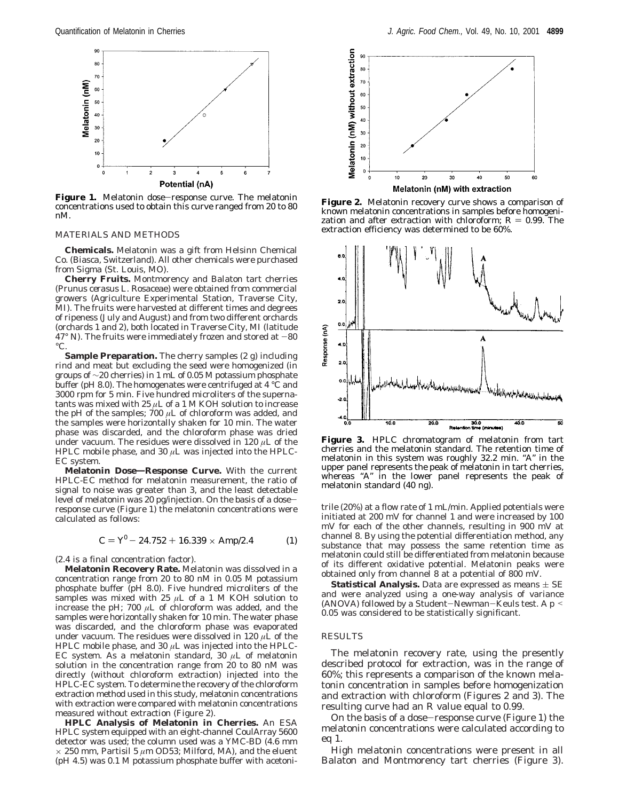

Figure 1. Melatonin dose-response curve. The melatonin concentrations used to obtain this curve ranged from 20 to 80 nM.

### MATERIALS AND METHODS

**Chemicals.** Melatonin was a gift from Helsinn Chemical Co. (Biasca, Switzerland). All other chemicals were purchased from Sigma (St. Louis, MO).

**Cherry Fruits.** Montmorency and Balaton tart cherries (*Prunus cerasus* L. Rosaceae) were obtained from commercial growers (Agriculture Experimental Station, Traverse City, MI). The fruits were harvested at different times and degrees of ripeness (July and August) and from two different orchards (orchards 1 and 2), both located in Traverse City, MI (latitude  $47^{\circ}$  N). The fruits were immediately frozen and stored at  $-80$  $^{\circ}C$ 

**Sample Preparation.** The cherry samples (2 g) including rind and meat but excluding the seed were homogenized (in groups of  $\sim$ 20 cherries) in 1 mL of 0.05 M potassium phosphate buffer (pH 8.0). The homogenates were centrifuged at 4 °C and 3000 rpm for 5 min. Five hundred microliters of the supernatants was mixed with 25 *µ*L of a 1 M KOH solution to increase the pH of the samples; 700  $\mu$ L of chloroform was added, and the samples were horizontally shaken for 10 min. The water phase was discarded, and the chloroform phase was dried under vacuum. The residues were dissolved in 120 *µ*L of the HPLC mobile phase, and 30  $\mu$ L was injected into the HPLC-EC system.

**Melatonin Dose**)**Response Curve.** With the current HPLC-EC method for melatonin measurement, the ratio of signal to noise was greater than 3, and the least detectable level of melatonin was 20 pg/injection. On the basis of a doseresponse curve (Figure 1) the melatonin concentrations were calculated as follows:

$$
C = Y^0 - 24.752 + 16.339 \times \text{Amp}/2.4 \tag{1}
$$

(2.4 is a final concentration factor).

**Melatonin Recovery Rate.** Melatonin was dissolved in a concentration range from 20 to 80 nM in 0.05 M potassium phosphate buffer (pH 8.0). Five hundred microliters of the samples was mixed with 25  $\mu$ L of a 1 M KOH solution to increase the pH; 700  $\mu$ L of chloroform was added, and the samples were horizontally shaken for 10 min. The water phase was discarded, and the chloroform phase was evaporated under vacuum. The residues were dissolved in 120 *µ*L of the HPLC mobile phase, and 30  $\mu$ L was injected into the HPLC-EC system. As a melatonin standard, 30  $\mu$ L of melatonin solution in the concentration range from 20 to 80 nM was directly (without chloroform extraction) injected into the HPLC-EC system. To determine the recovery of the chloroform extraction method used in this study, melatonin concentrations with extraction were compared with melatonin concentrations measured without extraction (Figure 2).

**HPLC Analysis of Melatonin in Cherries.** An ESA HPLC system equipped with an eight-channel CoulArray 5600 detector was used; the column used was a YMC-BD (4.6 mm  $\times$  250 mm, Partisil 5  $\mu$ m OD53; Milford, MA), and the eluent (pH 4.5) was 0.1 M potassium phosphate buffer with acetoni-



**Figure 2.** Melatonin recovery curve shows a comparison of known melatonin concentrations in samples before homogenization and after extraction with chloroform;  $R = 0.99$ . The extraction efficiency was determined to be 60%.



**Figure 3.** HPLC chromatogram of melatonin from tart cherries and the melatonin standard. The retention time of melatonin in this system was roughly 32.2 min. "A" in the upper panel represents the peak of melatonin in tart cherries, whereas "A" in the lower panel represents the peak of melatonin standard (40 ng).

trile (20%) at a flow rate of 1 mL/min. Applied potentials were initiated at 200 mV for channel 1 and were increased by 100 mV for each of the other channels, resulting in 900 mV at channel 8. By using the potential differentiation method, any substance that may possess the same retention time as melatonin could still be differentiated from melatonin because of its different oxidative potential. Melatonin peaks were obtained only from channel 8 at a potential of 800 mV.

**Statistical Analysis.** Data are expressed as means  $\pm$  SE and were analyzed using a one-way analysis of variance (ANOVA) followed by a Student-Newman-Keuls test. A *<sup>p</sup>* < 0.05 was considered to be statistically significant.

## RESULTS

The melatonin recovery rate, using the presently described protocol for extraction, was in the range of 60%; this represents a comparison of the known melatonin concentration in samples before homogenization and extraction with chloroform (Figures 2 and 3). The resulting curve had an *R* value equal to 0.99.

On the basis of a dose-response curve (Figure 1) the melatonin concentrations were calculated according to eq 1.

High melatonin concentrations were present in all Balaton and Montmorency tart cherries (Figure 3).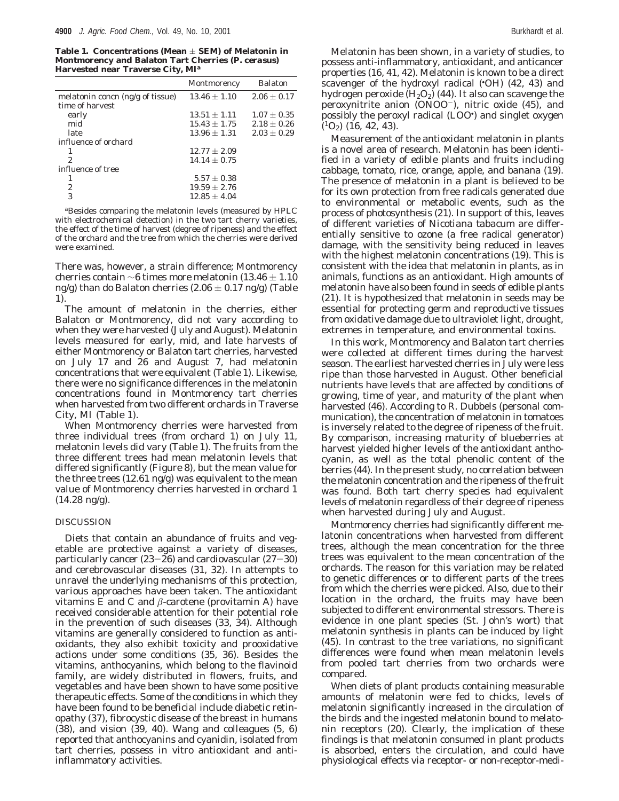Table 1. Concentrations (Mean  $\pm$  SEM) of Melatonin in **Montmorency and Balaton Tart Cherries (***P. cerasus***) Harvested near Traverse City, MI***<sup>a</sup>*

|                                  | Montmorency      | <b>Balaton</b>  |
|----------------------------------|------------------|-----------------|
| melatonin concn (ng/g of tissue) | $13.46 \pm 1.10$ | $2.06 \pm 0.17$ |
| time of harvest                  |                  |                 |
| early                            | $13.51 \pm 1.11$ | $1.07 \pm 0.35$ |
| mid                              | $15.43 \pm 1.75$ | $2.18 \pm 0.26$ |
| late                             | $13.96 \pm 1.31$ | $2.03 \pm 0.29$ |
| influence of orchard             |                  |                 |
|                                  | $12.77 \pm 2.09$ |                 |
| $\overline{2}$                   | $14.14 + 0.75$   |                 |
| influence of tree                |                  |                 |
|                                  | $5.57 \pm 0.38$  |                 |
| 2                                | $19.59 \pm 2.76$ |                 |
| 3                                | $12.85 \pm 4.04$ |                 |
|                                  |                  |                 |

*<sup>a</sup>*Besides comparing the melatonin levels (measured by HPLC with electrochemical detection) in the two tart cherry varieties, the effect of the time of harvest (degree of ripeness) and the effect of the orchard and the tree from which the cherries were derived were examined.

There was, however, a strain difference; Montmorency cherries contain ∼6 times more melatonin (13.46  $\pm$  1.10 ng/g) than do Balaton cherries (2.06  $\pm$  0.17 ng/g) (Table 1).

The amount of melatonin in the cherries, either Balaton or Montmorency, did not vary according to when they were harvested (July and August). Melatonin levels measured for early, mid, and late harvests of either Montmorency or Balaton tart cherries, harvested on July 17 and 26 and August 7, had melatonin concentrations that were equivalent (Table 1). Likewise, there were no significance differences in the melatonin concentrations found in Montmorency tart cherries when harvested from two different orchards in Traverse City, MI (Table 1).

When Montmorency cherries were harvested from three individual trees (from orchard 1) on July 11, melatonin levels did vary (Table 1). The fruits from the three different trees had mean melatonin levels that differed significantly (Figure 8), but the mean value for the three trees (12.61 ng/g) was equivalent to the mean value of Montmorency cherries harvested in orchard 1 (14.28 ng/g).

#### DISCUSSION

Diets that contain an abundance of fruits and vegetable are protective against a variety of diseases, particularly cancer (*23*-*26*) and cardiovascular (*27*-*30*) and cerebrovascular diseases (*31*, *32*). In attempts to unravel the underlying mechanisms of this protection, various approaches have been taken. The antioxidant vitamins E and C and  $\beta$ -carotene (provitamin A) have received considerable attention for their potential role in the prevention of such diseases (*33*, *34*). Although vitamins are generally considered to function as antioxidants, they also exhibit toxicity and prooxidative actions under some conditions (*35*, *36*). Besides the vitamins, anthocyanins, which belong to the flavinoid family, are widely distributed in flowers, fruits, and vegetables and have been shown to have some positive therapeutic effects. Some of the conditions in which they have been found to be beneficial include diabetic retinopathy (*37*), fibrocystic disease of the breast in humans (*38*), and vision (*39*, *40*). Wang and colleagues (*5*, *6*) reported that anthocyanins and cyanidin, isolated from tart cherries, possess in vitro antioxidant and antiinflammatory activities.

Melatonin has been shown, in a variety of studies, to possess anti-inflammatory, antioxidant, and anticancer properties (*16*, *41*, *42*). Melatonin is known to be a direct scavenger of the hydroxyl radical (• OH) (*42*, *43*) and hydrogen peroxide  $(H_2O_2)$  (44). It also can scavenge the peroxynitrite anion (ONOO-), nitric oxide (*45*), and possibly the peroxyl radical (LOO• ) and singlet oxygen (1O2) (*16*, *42*, *43*).

Measurement of the antioxidant melatonin in plants is a novel area of research. Melatonin has been identified in a variety of edible plants and fruits including cabbage, tomato, rice, orange, apple, and banana (*19*). The presence of melatonin in a plant is believed to be for its own protection from free radicals generated due to environmental or metabolic events, such as the process of photosynthesis (*21*). In support of this, leaves of different varieties of *Nicotiana tabacum* are differentially sensitive to ozone (a free radical generator) damage, with the sensitivity being reduced in leaves with the highest melatonin concentrations (*19*). This is consistent with the idea that melatonin in plants, as in animals, functions as an antioxidant. High amounts of melatonin have also been found in seeds of edible plants (*21*). It is hypothesized that melatonin in seeds may be essential for protecting germ and reproductive tissues from oxidative damage due to ultraviolet light, drought, extremes in temperature, and environmental toxins.

In this work, Montmorency and Balaton tart cherries were collected at different times during the harvest season. The earliest harvested cherries in July were less ripe than those harvested in August. Other beneficial nutrients have levels that are affected by conditions of growing, time of year, and maturity of the plant when harvested (*46*). According to R. Dubbels (personal communication), the concentration of melatonin in tomatoes is inversely related to the degree of ripeness of the fruit. By comparison, increasing maturity of blueberries at harvest yielded higher levels of the antioxidant anthocyanin, as well as the total phenolic content of the berries (*44*). In the present study, no correlation between the melatonin concentration and the ripeness of the fruit was found. Both tart cherry species had equivalent levels of melatonin regardless of their degree of ripeness when harvested during July and August.

Montmorency cherries had significantly different melatonin concentrations when harvested from different trees, although the mean concentration for the three trees was equivalent to the mean concentration of the orchards. The reason for this variation may be related to genetic differences or to different parts of the trees from which the cherries were picked. Also, due to their location in the orchard, the fruits may have been subjected to different environmental stressors. There is evidence in one plant species (St. John's wort) that melatonin synthesis in plants can be induced by light (*45*). In contrast to the tree variations, no significant differences were found when mean melatonin levels from pooled tart cherries from two orchards were compared.

When diets of plant products containing measurable amounts of melatonin were fed to chicks, levels of melatonin significantly increased in the circulation of the birds and the ingested melatonin bound to melatonin receptors (*20*). Clearly, the implication of these findings is that melatonin consumed in plant products is absorbed, enters the circulation, and could have physiological effects via receptor- or non-receptor-medi-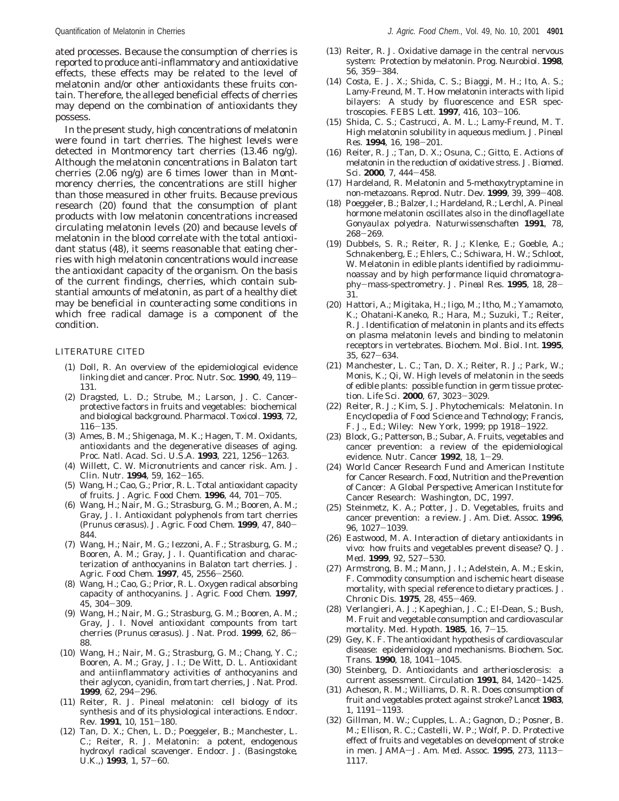ated processes. Because the consumption of cherries is reported to produce anti-inflammatory and antioxidative effects, these effects may be related to the level of melatonin and/or other antioxidants these fruits contain. Therefore, the alleged beneficial effects of cherries may depend on the combination of antioxidants they possess.

In the present study, high concentrations of melatonin were found in tart cherries. The highest levels were detected in Montmorency tart cherries (13.46 ng/g). Although the melatonin concentrations in Balaton tart cherries (2.06 ng/g) are 6 times lower than in Montmorency cherries, the concentrations are still higher than those measured in other fruits. Because previous research (*20*) found that the consumption of plant products with low melatonin concentrations increased circulating melatonin levels (*20*) and because levels of melatonin in the blood correlate with the total antioxidant status (*48*), it seems reasonable that eating cherries with high melatonin concentrations would increase the antioxidant capacity of the organism. On the basis of the current findings, cherries, which contain substantial amounts of melatonin, as part of a healthy diet may be beneficial in counteracting some conditions in which free radical damage is a component of the condition.

#### LITERATURE CITED

- (1) Doll, R. An overview of the epidemiological evidence linking diet and cancer. *Proc. Nutr. Soc.* **<sup>1990</sup>**, *<sup>49</sup>*, 119- 131.
- (2) Dragsted, L. D.; Strube, M.; Larson, J. C. Cancerprotective factors in fruits and vegetables: biochemical and biological background. *Pharmacol. Toxicol*. **1993**, *72*, <sup>116</sup>-135.
- (3) Ames, B. M.; Shigenaga, M. K.; Hagen, T. M. Oxidants, antioxidants and the degenerative diseases of aging. *Proc. Natl. Acad. Sci. U.S.A.* **<sup>1993</sup>**, *<sup>221</sup>*, 1256-1263.
- (4) Willett, C. W. Micronutrients and cancer risk. *Am. J. Clin. Nutr.* **<sup>1994</sup>**, *<sup>59</sup>*, 162-165.
- (5) Wang, H.; Cao, G.; Prior, R. L. Total antioxidant capacity of fruits. *J. Agric. Food Chem*. **<sup>1996</sup>**, *<sup>44</sup>*, 701-705.
- (6) Wang, H.; Nair, M. G.; Strasburg, G. M.; Booren, A. M.; Gray, J. I. Antioxidant polyphenols from tart cherries (*Prunus cerasus*). *J. Agric. Food Chem*. **<sup>1999</sup>**, *<sup>47</sup>*, 840- 844.
- (7) Wang, H.; Nair, M. G.; Iezzoni, A. F.; Strasburg, G. M.; Booren, A. M.; Gray, J. I. Quantification and characterization of anthocyanins in Balaton tart cherries. *J. Agric. Food Chem*. **<sup>1997</sup>**, *<sup>45</sup>*, 2556-2560.
- (8) Wang, H.; Cao, G.; Prior, R. L. Oxygen radical absorbing capacity of anthocyanins. *J. Agric. Food Chem*. **1997**, *<sup>45</sup>*, 304-309.
- (9) Wang, H.; Nair, M. G.; Strasburg, G. M.; Booren, A. M.; Gray, J. I. Novel antioxidant compounts from tart cherries (*Prunus cerasus*). *J. Nat. Prod*. **<sup>1999</sup>**, *<sup>62</sup>*, 86- 88.
- (10) Wang, H.; Nair, M. G.; Strasburg, G. M.; Chang, Y. C.; Booren, A. M.; Gray, J. I.; De Witt, D. L. Antioxidant and antiinflammatory activities of anthocyanins and their aglycon, cyanidin, from tart cherries*, J. Nat. Prod*. **<sup>1999</sup>**, *<sup>62</sup>*, 294-296.
- (11) Reiter, R. J. Pineal melatonin: cell biology of its synthesis and of its physiological interactions. *Endocr. Rev*. **<sup>1991</sup>**, *<sup>10</sup>*, 151-180.
- (12) Tan, D. X.; Chen, L. D.; Poeggeler, B.; Manchester, L. C.; Reiter, R. J. Melatonin: a potent, endogenous hydroxyl radical scavenger. *Endocr. J. (Basingstoke, U.K.,)* **<sup>1993</sup>**, *<sup>1</sup>*, 57-60.
- (13) Reiter, R. J. Oxidative damage in the central nervous system: Protection by melatonin. *Prog. Neurobiol.* **1998**, *<sup>56</sup>*, 359-384.
- (14) Costa, E. J. X.; Shida, C. S.; Biaggi, M. H.; Ito, A. S.; Lamy-Freund, M. T. How melatonin interacts with lipid bilayers: A study by fluorescence and ESR spectroscopies. *FEBS Lett.* **<sup>1997</sup>**, *<sup>416</sup>*, 103-106.
- (15) Shida, C. S.; Castrucci, A. M. L.; Lamy-Freund, M. T. High melatonin solubility in aqueous medium. *J. Pineal Res*. **<sup>1994</sup>**, *<sup>16</sup>*, 198-201.
- (16) Reiter, R. J.; Tan, D. X.; Osuna, C.; Gitto, E. Actions of melatonin in the reduction of oxidative stress. *J. Biomed. Sci*. **<sup>2000</sup>**, *<sup>7</sup>*, 444-458.
- (17) Hardeland, R. Melatonin and 5-methoxytryptamine in non-metazoans. *Reprod. Nutr. Dev*. **<sup>1999</sup>**, *<sup>39</sup>*, 399-408.
- (18) Poeggeler, B.; Balzer, I.; Hardeland, R.; Lerchl, A. Pineal hormone melatonin oscillates also in the dinoflagellate *Gonyaulax polyedra. Naturwissenschaften* **1991**, *78*, <sup>268</sup>-269.
- (19) Dubbels, S. R.; Reiter, R. J.; Klenke, E.; Goeble, A.; Schnakenberg, E.; Ehlers, C.; Schiwara, H. W.; Schloot, W. Melatonin in edible plants identified by radioimmunoassay and by high performance liquid chromatography-mass-spectrometry. *J. Pineal Res.* **<sup>1995</sup>**, *<sup>18</sup>*, 28- 31.
- (20) Hattori, A.; Migitaka, H.; Iigo, M.; Itho, M.; Yamamoto, K.; Ohatani-Kaneko, R.; Hara, M.; Suzuki, T.; Reiter, R. J. Identification of melatonin in plants and its effects on plasma melatonin levels and binding to melatonin receptors in vertebrates. *Biochem. Mol. Biol. Int.* **1995**, *<sup>35</sup>*, 627-634.
- (21) Manchester, L. C.; Tan, D. X.; Reiter, R. J.; Park, W.; Monis, K.; Qi, W. High levels of melatonin in the seeds of edible plants: possible function in germ tissue protection. *Life Sci.* **<sup>2000</sup>**, *<sup>67</sup>*, 3023-3029.
- (22) Reiter, R. J.; Kim, S. J. Phytochemicals: Melatonin. In *Encyclopedia of Food Science and Technology*; Francis, F. J., Ed.; Wiley: New York, 1999; pp 1918-1922.
- (23) Block, G.; Patterson, B.; Subar, A. Fruits, vegetables and cancer prevention: a review of the epidemiological evidence. *Nutr. Cancer* **<sup>1992</sup>**, *<sup>18</sup>*, 1-29.
- (24) World Cancer Research Fund and American Institute for Cancer Research. *Food*, *Nutrition and the Prevention of Cancer*: *A Global Perspective*; American Institute for Cancer Research: Washington, DC, 1997.
- (25) Steinmetz, K. A.; Potter, J. D. Vegetables, fruits and cancer prevention: a review. *J. Am. Diet. Assoc*. **1996**, *<sup>96</sup>*, 1027-1039.
- (26) Eastwood, M. A. Interaction of dietary antioxidants *in vivo*: how fruits and vegetables prevent disease? *Q. J. Med*. **<sup>1999</sup>**, *<sup>92</sup>*, 527-530.
- (27) Armstrong, B. M.; Mann, J. I.; Adelstein, A. M.; Eskin, F. Commodity consumption and ischemic heart disease mortality, with special reference to dietary practices. *J. Chronic Dis.* **<sup>1975</sup>**, *<sup>28</sup>*, 455-469.
- (28) Verlangieri, A. J.; Kapeghian, J. C.; El-Dean, S.; Bush, M. Fruit and vegetable consumption and cardiovascular mortality. *Med. Hypoth*. **<sup>1985</sup>**, *<sup>16</sup>*, 7-15.
- (29) Gey, K. F. The antioxidant hypothesis of cardiovascular disease: epidemiology and mechanisms. *Biochem. Soc. Trans*. **<sup>1990</sup>**, *<sup>18</sup>*, 1041-1045.
- (30) Steinberg, D. Antioxidants and artheriosclerosis: a current assessment. *Circulation* **<sup>1991</sup>**, *<sup>84</sup>*, 1420-1425.
- (31) Acheson, R. M.; Williams, D. R. R. Does consumption of fruit and vegetables protect against stroke? *Lancet* **1983**, *<sup>1</sup>*, 1191-1193.
- (32) Gillman, M. W.; Cupples, L. A.; Gagnon, D.; Posner, B. M.; Ellison, R. C.; Castelli, W. P.; Wolf, P. D. Protective effect of fruits and vegetables on development of stroke in men. *JAMA-J. Am. Med. Assoc.* **1995**, 273, 1113-1117.